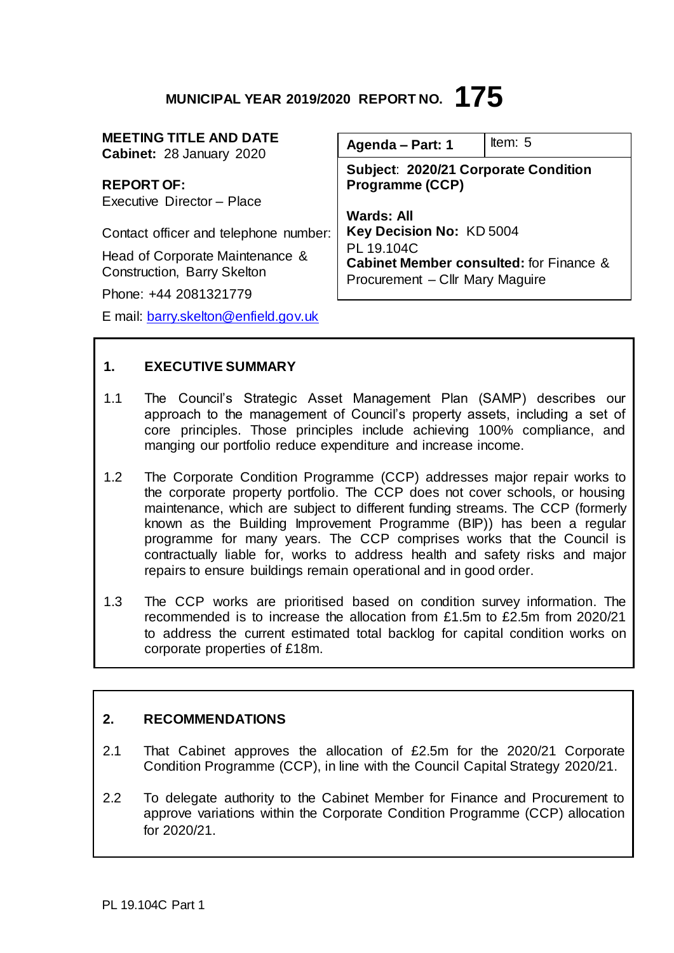# **MUNICIPAL YEAR 2019/2020 REPORT NO. 175**

| <b>MEETING TITLE AND DATE</b><br>Cabinet: 28 January 2020      | Agenda - Part: 1                                                                                                                                                                                            | Item: $5$ |
|----------------------------------------------------------------|-------------------------------------------------------------------------------------------------------------------------------------------------------------------------------------------------------------|-----------|
| <b>REPORT OF:</b>                                              | Subject: 2020/21 Corporate Condition<br><b>Programme (CCP)</b><br><b>Wards: All</b><br>Key Decision No: KD 5004<br>PL 19.104C<br>Cabinet Member consulted: for Finance &<br>Procurement - Cllr Mary Maguire |           |
| Executive Director - Place                                     |                                                                                                                                                                                                             |           |
| Contact officer and telephone number:                          |                                                                                                                                                                                                             |           |
| Head of Corporate Maintenance &<br>Construction, Barry Skelton |                                                                                                                                                                                                             |           |
| Phone: +44 2081321779                                          |                                                                                                                                                                                                             |           |
| E mail: barry.skelton@enfield.gov.uk                           |                                                                                                                                                                                                             |           |

#### **1. EXECUTIVE SUMMARY**

- 1.1 The Council's Strategic Asset Management Plan (SAMP) describes our approach to the management of Council's property assets, including a set of core principles. Those principles include achieving 100% compliance, and manging our portfolio reduce expenditure and increase income.
- 1.2 The Corporate Condition Programme (CCP) addresses major repair works to the corporate property portfolio. The CCP does not cover schools, or housing maintenance, which are subject to different funding streams. The CCP (formerly known as the Building Improvement Programme (BIP)) has been a regular programme for many years. The CCP comprises works that the Council is contractually liable for, works to address health and safety risks and major repairs to ensure buildings remain operational and in good order.
- 1.3 The CCP works are prioritised based on condition survey information. The recommended is to increase the allocation from £1.5m to £2.5m from 2020/21 to address the current estimated total backlog for capital condition works on corporate properties of £18m.

# **2. RECOMMENDATIONS**

- 2.1 That Cabinet approves the allocation of £2.5m for the 2020/21 Corporate Condition Programme (CCP), in line with the Council Capital Strategy 2020/21.
- 2.2 To delegate authority to the Cabinet Member for Finance and Procurement to approve variations within the Corporate Condition Programme (CCP) allocation for 2020/21.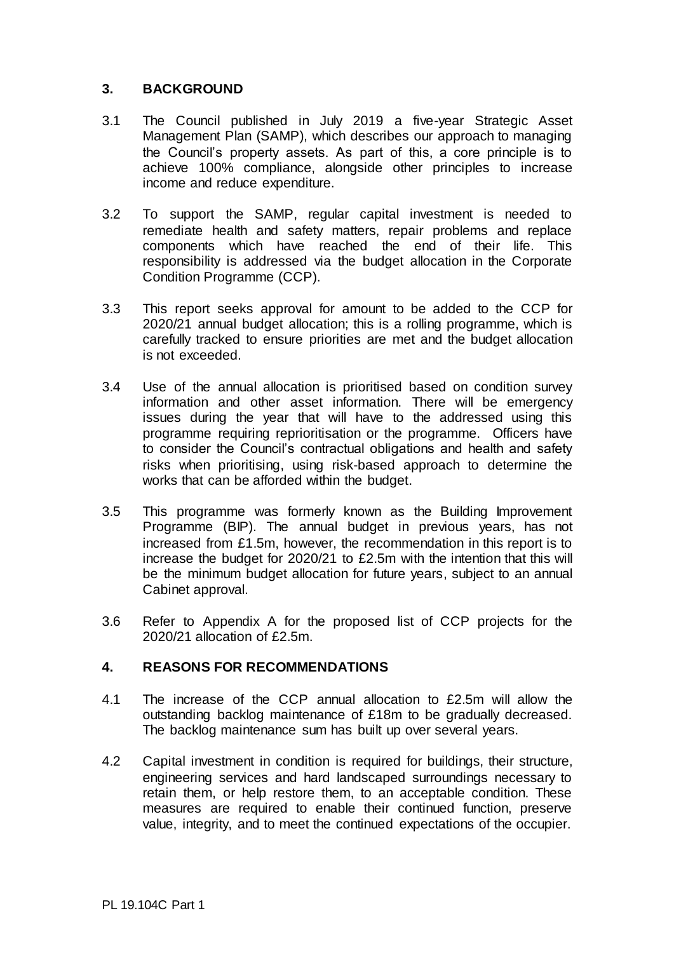### **3. BACKGROUND**

- 3.1 The Council published in July 2019 a five-year Strategic Asset Management Plan (SAMP), which describes our approach to managing the Council's property assets. As part of this, a core principle is to achieve 100% compliance, alongside other principles to increase income and reduce expenditure.
- 3.2 To support the SAMP, regular capital investment is needed to remediate health and safety matters, repair problems and replace components which have reached the end of their life. This responsibility is addressed via the budget allocation in the Corporate Condition Programme (CCP).
- 3.3 This report seeks approval for amount to be added to the CCP for 2020/21 annual budget allocation; this is a rolling programme, which is carefully tracked to ensure priorities are met and the budget allocation is not exceeded.
- 3.4 Use of the annual allocation is prioritised based on condition survey information and other asset information. There will be emergency issues during the year that will have to the addressed using this programme requiring reprioritisation or the programme. Officers have to consider the Council's contractual obligations and health and safety risks when prioritising, using risk-based approach to determine the works that can be afforded within the budget.
- 3.5 This programme was formerly known as the Building Improvement Programme (BIP). The annual budget in previous years, has not increased from £1.5m, however, the recommendation in this report is to increase the budget for 2020/21 to £2.5m with the intention that this will be the minimum budget allocation for future years, subject to an annual Cabinet approval.
- 3.6 Refer to Appendix A for the proposed list of CCP projects for the 2020/21 allocation of £2.5m.

#### **4. REASONS FOR RECOMMENDATIONS**

- 4.1 The increase of the CCP annual allocation to £2.5m will allow the outstanding backlog maintenance of £18m to be gradually decreased. The backlog maintenance sum has built up over several years.
- 4.2 Capital investment in condition is required for buildings, their structure, engineering services and hard landscaped surroundings necessary to retain them, or help restore them, to an acceptable condition. These measures are required to enable their continued function, preserve value, integrity, and to meet the continued expectations of the occupier.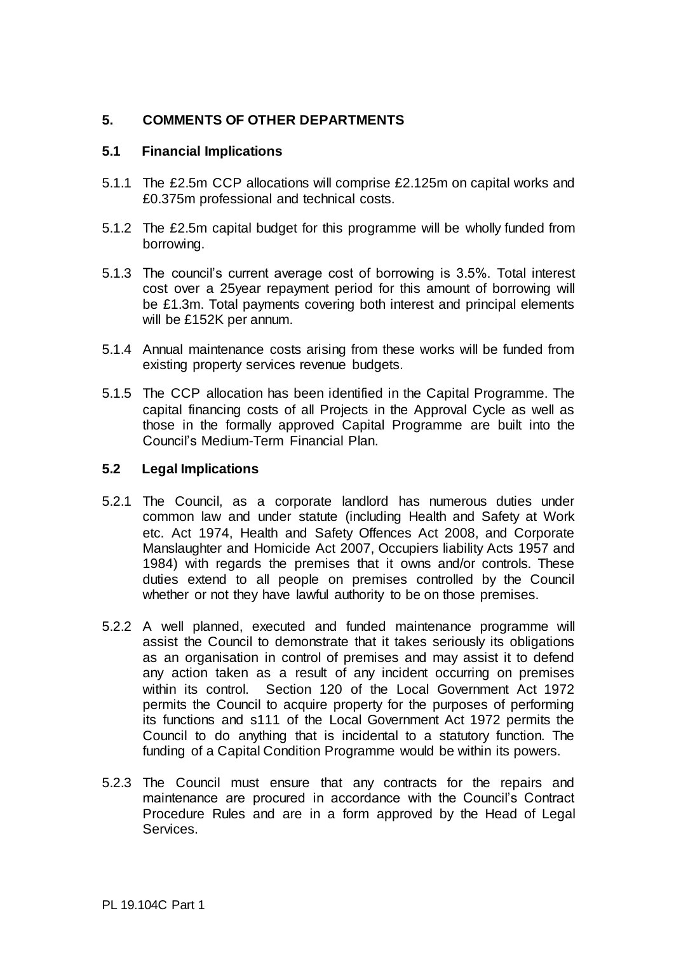# **5. COMMENTS OF OTHER DEPARTMENTS**

#### **5.1 Financial Implications**

- 5.1.1 The £2.5m CCP allocations will comprise £2.125m on capital works and £0.375m professional and technical costs.
- 5.1.2 The £2.5m capital budget for this programme will be wholly funded from borrowing.
- 5.1.3 The council's current average cost of borrowing is 3.5%. Total interest cost over a 25year repayment period for this amount of borrowing will be £1.3m. Total payments covering both interest and principal elements will be £152K per annum.
- 5.1.4 Annual maintenance costs arising from these works will be funded from existing property services revenue budgets.
- 5.1.5 The CCP allocation has been identified in the Capital Programme. The capital financing costs of all Projects in the Approval Cycle as well as those in the formally approved Capital Programme are built into the Council's Medium-Term Financial Plan.

#### **5.2 Legal Implications**

- 5.2.1 The Council, as a corporate landlord has numerous duties under common law and under statute (including Health and Safety at Work etc. Act 1974, Health and Safety Offences Act 2008, and Corporate Manslaughter and Homicide Act 2007, Occupiers liability Acts 1957 and 1984) with regards the premises that it owns and/or controls. These duties extend to all people on premises controlled by the Council whether or not they have lawful authority to be on those premises.
- 5.2.2 A well planned, executed and funded maintenance programme will assist the Council to demonstrate that it takes seriously its obligations as an organisation in control of premises and may assist it to defend any action taken as a result of any incident occurring on premises within its control. Section 120 of the Local Government Act 1972 permits the Council to acquire property for the purposes of performing its functions and s111 of the Local Government Act 1972 permits the Council to do anything that is incidental to a statutory function. The funding of a Capital Condition Programme would be within its powers.
- 5.2.3 The Council must ensure that any contracts for the repairs and maintenance are procured in accordance with the Council's Contract Procedure Rules and are in a form approved by the Head of Legal Services.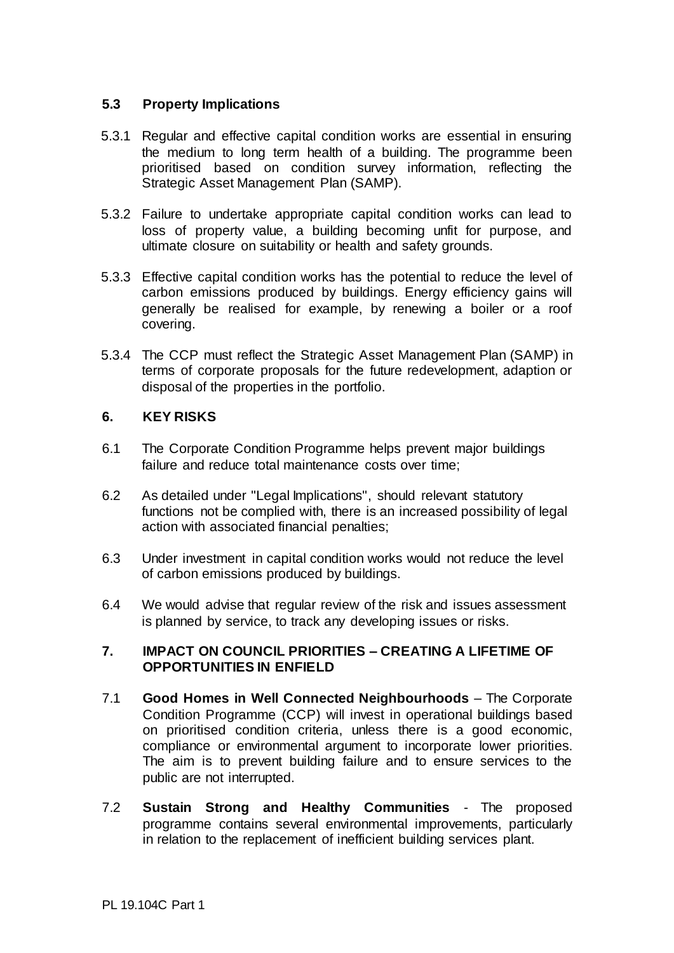### **5.3 Property Implications**

- 5.3.1 Regular and effective capital condition works are essential in ensuring the medium to long term health of a building. The programme been prioritised based on condition survey information, reflecting the Strategic Asset Management Plan (SAMP).
- 5.3.2 Failure to undertake appropriate capital condition works can lead to loss of property value, a building becoming unfit for purpose, and ultimate closure on suitability or health and safety grounds.
- 5.3.3 Effective capital condition works has the potential to reduce the level of carbon emissions produced by buildings. Energy efficiency gains will generally be realised for example, by renewing a boiler or a roof covering.
- 5.3.4 The CCP must reflect the Strategic Asset Management Plan (SAMP) in terms of corporate proposals for the future redevelopment, adaption or disposal of the properties in the portfolio.

#### **6. KEY RISKS**

- 6.1 The Corporate Condition Programme helps prevent major buildings failure and reduce total maintenance costs over time;
- 6.2 As detailed under "Legal Implications", should relevant statutory functions not be complied with, there is an increased possibility of legal action with associated financial penalties;
- 6.3 Under investment in capital condition works would not reduce the level of carbon emissions produced by buildings.
- 6.4 We would advise that regular review of the risk and issues assessment is planned by service, to track any developing issues or risks.

#### **7. IMPACT ON COUNCIL PRIORITIES – CREATING A LIFETIME OF OPPORTUNITIES IN ENFIELD**

- 7.1 **Good Homes in Well Connected Neighbourhoods** The Corporate Condition Programme (CCP) will invest in operational buildings based on prioritised condition criteria, unless there is a good economic, compliance or environmental argument to incorporate lower priorities. The aim is to prevent building failure and to ensure services to the public are not interrupted.
- 7.2 **Sustain Strong and Healthy Communities**  The proposed programme contains several environmental improvements, particularly in relation to the replacement of inefficient building services plant.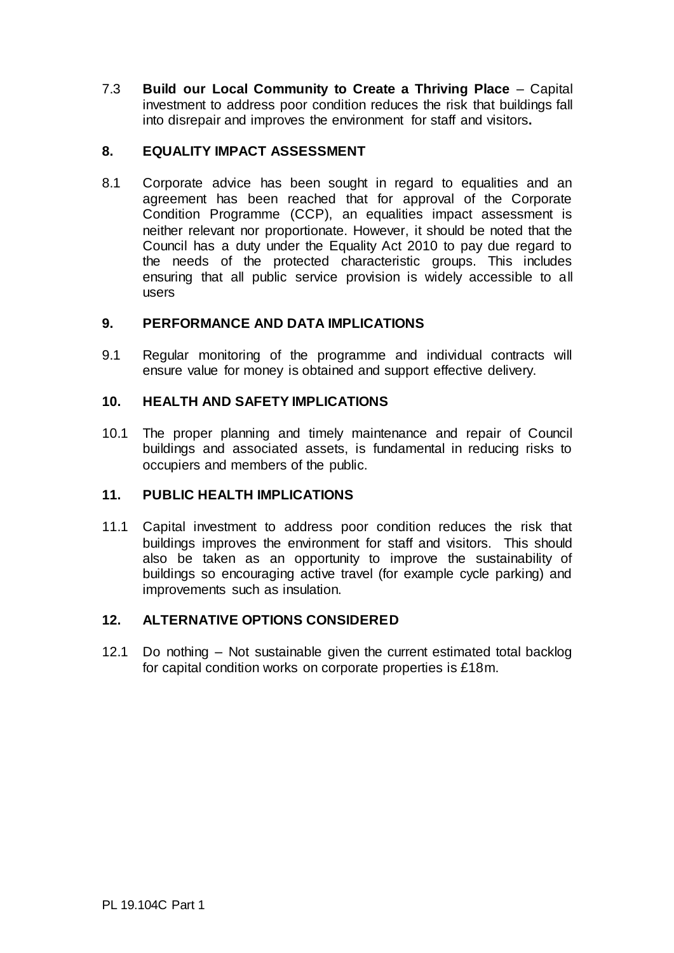7.3 **Build our Local Community to Create a Thriving Place** – Capital investment to address poor condition reduces the risk that buildings fall into disrepair and improves the environment for staff and visitors**.** 

# **8. EQUALITY IMPACT ASSESSMENT**

8.1 Corporate advice has been sought in regard to equalities and an agreement has been reached that for approval of the Corporate Condition Programme (CCP), an equalities impact assessment is neither relevant nor proportionate. However, it should be noted that the Council has a duty under the Equality Act 2010 to pay due regard to the needs of the protected characteristic groups. This includes ensuring that all public service provision is widely accessible to all users

#### **9. PERFORMANCE AND DATA IMPLICATIONS**

9.1 Regular monitoring of the programme and individual contracts will ensure value for money is obtained and support effective delivery.

#### **10. HEALTH AND SAFETY IMPLICATIONS**

10.1 The proper planning and timely maintenance and repair of Council buildings and associated assets, is fundamental in reducing risks to occupiers and members of the public.

#### **11. PUBLIC HEALTH IMPLICATIONS**

11.1 Capital investment to address poor condition reduces the risk that buildings improves the environment for staff and visitors. This should also be taken as an opportunity to improve the sustainability of buildings so encouraging active travel (for example cycle parking) and improvements such as insulation.

#### **12. ALTERNATIVE OPTIONS CONSIDERED**

12.1 Do nothing – Not sustainable given the current estimated total backlog for capital condition works on corporate properties is £18m.